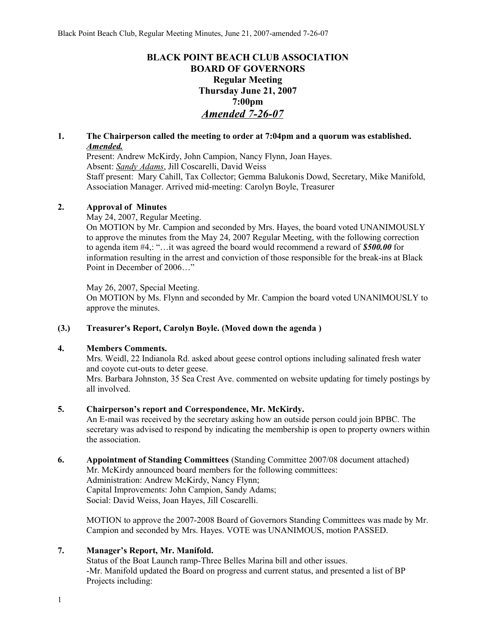# **BLACK POINT BEACH CLUB ASSOCIATION BOARD OF GOVERNORS Regular Meeting Thursday June 21, 2007 7:00pm** *Amended 7-26-07*

## **1. The Chairperson called the meeting to order at 7:04pm and a quorum was established.**  *Amended.*

Present: Andrew McKirdy, John Campion, Nancy Flynn, Joan Hayes. Absent: *Sandy Adams*, Jill Coscarelli, David Weiss Staff present: Mary Cahill, Tax Collector; Gemma Balukonis Dowd, Secretary, Mike Manifold, Association Manager. Arrived mid-meeting: Carolyn Boyle, Treasurer

### **2. Approval of Minutes**

May 24, 2007, Regular Meeting.

On MOTION by Mr. Campion and seconded by Mrs. Hayes, the board voted UNANIMOUSLY to approve the minutes from the May 24, 2007 Regular Meeting, with the following correction to agenda item #4,: "…it was agreed the board would recommend a reward of *\$500.00* for information resulting in the arrest and conviction of those responsible for the break-ins at Black Point in December of 2006…"

May 26, 2007, Special Meeting.

On MOTION by Ms. Flynn and seconded by Mr. Campion the board voted UNANIMOUSLY to approve the minutes.

#### **(3.) Treasurer's Report, Carolyn Boyle. (Moved down the agenda )**

#### **4. Members Comments.**

Mrs. Weidl, 22 Indianola Rd. asked about geese control options including salinated fresh water and coyote cut-outs to deter geese.

Mrs. Barbara Johnston, 35 Sea Crest Ave. commented on website updating for timely postings by all involved.

## **5. Chairperson's report and Correspondence, Mr. McKirdy.**

An E-mail was received by the secretary asking how an outside person could join BPBC. The secretary was advised to respond by indicating the membership is open to property owners within the association.

**6. Appointment of Standing Committees** (Standing Committee 2007/08 document attached) Mr. McKirdy announced board members for the following committees: Administration: Andrew McKirdy, Nancy Flynn; Capital Improvements: John Campion, Sandy Adams;

Social: David Weiss, Joan Hayes, Jill Coscarelli.

MOTION to approve the 2007-2008 Board of Governors Standing Committees was made by Mr. Campion and seconded by Mrs. Hayes. VOTE was UNANIMOUS, motion PASSED.

#### **7. Manager's Report, Mr. Manifold.**

Status of the Boat Launch ramp-Three Belles Marina bill and other issues. -Mr. Manifold updated the Board on progress and current status, and presented a list of BP Projects including: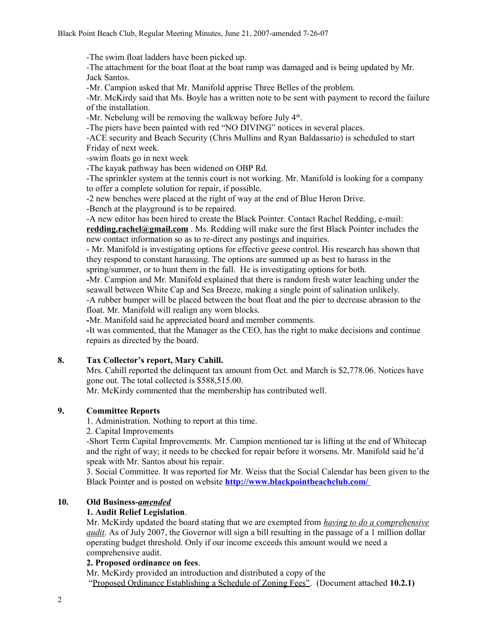-The swim float ladders have been picked up.

-The attachment for the boat float at the boat ramp was damaged and is being updated by Mr. Jack Santos.

-Mr. Campion asked that Mr. Manifold apprise Three Belles of the problem.

-Mr. McKirdy said that Ms. Boyle has a written note to be sent with payment to record the failure of the installation.

-Mr. Nebelung will be removing the walkway before July  $4<sup>th</sup>$ .

-The piers have been painted with red "NO DIVING" notices in several places.

-ACE security and Beach Security (Chris Mullins and Ryan Baldassario) is scheduled to start Friday of next week.

-swim floats go in next week

-The kayak pathway has been widened on OBP Rd.

-The sprinkler system at the tennis court is not working. Mr. Manifold is looking for a company to offer a complete solution for repair, if possible.

-2 new benches were placed at the right of way at the end of Blue Heron Drive.

-Bench at the playground is to be repaired.

-A new editor has been hired to create the Black Pointer. Contact Rachel Redding, e-mail:

**redding.rachel@gmail.com** . Ms. Redding will make sure the first Black Pointer includes the new contact information so as to re-direct any postings and inquiries.

- Mr. Manifold is investigating options for effective geese control. His research has shown that they respond to constant harassing. The options are summed up as best to harass in the spring/summer, or to hunt them in the fall. He is investigating options for both.

**-**Mr. Campion and Mr. Manifold explained that there is random fresh water leaching under the seawall between White Cap and Sea Breeze, making a single point of salination unlikely.

-A rubber bumper will be placed between the boat float and the pier to decrease abrasion to the float. Mr. Manifold will realign any worn blocks.

**-**Mr. Manifold said he appreciated board and member comments.

**-**It was commented, that the Manager as the CEO, has the right to make decisions and continue repairs as directed by the board.

## **8. Tax Collector's report, Mary Cahill.**

Mrs. Cahill reported the delinquent tax amount from Oct. and March is \$2,778.06. Notices have gone out. The total collected is \$588,515.00.

Mr. McKirdy commented that the membership has contributed well.

## **9. Committee Reports**

1. Administration. Nothing to report at this time.

2. Capital Improvements

-Short Term Capital Improvements. Mr. Campion mentioned tar is lifting at the end of Whitecap and the right of way; it needs to be checked for repair before it worsens. Mr. Manifold said he'd speak with Mr. Santos about his repair.

3. Social Committee. It was reported for Mr. Weiss that the Social Calendar has been given to the Black Pointer and is posted on website **<http://www.blackpointbeachclub.com/>**

## **10. Old Business-***amended*

#### **1. Audit Relief Legislation**.

Mr. McKirdy updated the board stating that we are exempted from *having to do a comprehensive audit*. As of July 2007, the Governor will sign a bill resulting in the passage of a 1 million dollar operating budget threshold. Only if our income exceeds this amount would we need a comprehensive audit.

#### **2. Proposed ordinance on fees**.

Mr. McKirdy provided an introduction and distributed a copy of the "Proposed Ordinance Establishing a Schedule of Zoning Fees". (Document attached **10.2.1)**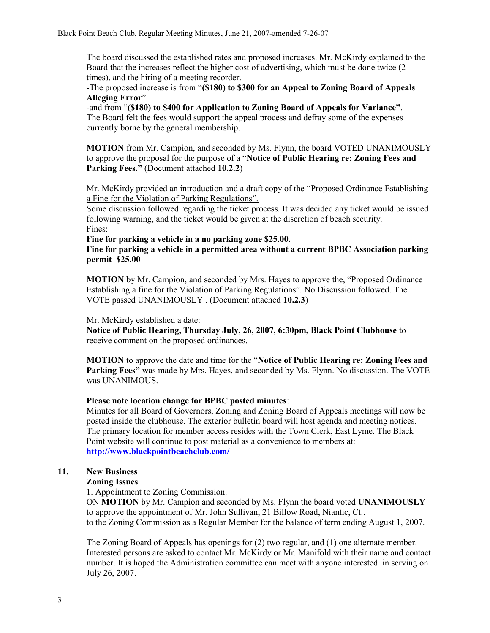The board discussed the established rates and proposed increases. Mr. McKirdy explained to the Board that the increases reflect the higher cost of advertising, which must be done twice (2 times), and the hiring of a meeting recorder.

-The proposed increase is from "**(\$180) to \$300 for an Appeal to Zoning Board of Appeals Alleging Error**"

-and from "**(\$180) to \$400 for Application to Zoning Board of Appeals for Variance"**. The Board felt the fees would support the appeal process and defray some of the expenses currently borne by the general membership.

**MOTION** from Mr. Campion, and seconded by Ms. Flynn, the board VOTED UNANIMOUSLY to approve the proposal for the purpose of a "**Notice of Public Hearing re: Zoning Fees and Parking Fees."** (Document attached 10.2.2)

Mr. McKirdy provided an introduction and a draft copy of the "Proposed Ordinance Establishing a Fine for the Violation of Parking Regulations".

Some discussion followed regarding the ticket process. It was decided any ticket would be issued following warning, and the ticket would be given at the discretion of beach security. Fines:

**Fine for parking a vehicle in a no parking zone \$25.00.**

**Fine for parking a vehicle in a permitted area without a current BPBC Association parking permit \$25.00**

**MOTION** by Mr. Campion, and seconded by Mrs. Hayes to approve the, "Proposed Ordinance Establishing a fine for the Violation of Parking Regulations". No Discussion followed. The VOTE passed UNANIMOUSLY . (Document attached **10.2.3**)

Mr. McKirdy established a date:

**Notice of Public Hearing, Thursday July, 26, 2007, 6:30pm, Black Point Clubhouse** to receive comment on the proposed ordinances.

**MOTION** to approve the date and time for the "**Notice of Public Hearing re: Zoning Fees and Parking Fees"** was made by Mrs. Hayes, and seconded by Ms. Flynn. No discussion. The VOTE was UNANIMOUS.

#### **Please note location change for BPBC posted minutes**:

Minutes for all Board of Governors, Zoning and Zoning Board of Appeals meetings will now be posted inside the clubhouse. The exterior bulletin board will host agenda and meeting notices. The primary location for member access resides with the Town Clerk, East Lyme. The Black Point website will continue to post material as a convenience to members at: **<http://www.blackpointbeachclub.com/>**

#### **11. New Business**

#### **Zoning Issues**

1. Appointment to Zoning Commission.

ON **MOTION** by Mr. Campion and seconded by Ms. Flynn the board voted **UNANIMOUSLY** to approve the appointment of Mr. John Sullivan, 21 Billow Road, Niantic, Ct.. to the Zoning Commission as a Regular Member for the balance of term ending August 1, 2007.

The Zoning Board of Appeals has openings for (2) two regular, and (1) one alternate member. Interested persons are asked to contact Mr. McKirdy or Mr. Manifold with their name and contact number. It is hoped the Administration committee can meet with anyone interested in serving on July 26, 2007.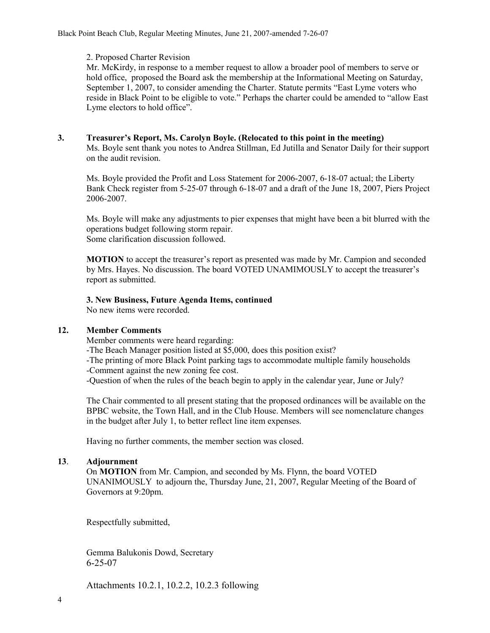#### 2. Proposed Charter Revision

Mr. McKirdy, in response to a member request to allow a broader pool of members to serve or hold office, proposed the Board ask the membership at the Informational Meeting on Saturday, September 1, 2007, to consider amending the Charter. Statute permits "East Lyme voters who reside in Black Point to be eligible to vote." Perhaps the charter could be amended to "allow East Lyme electors to hold office".

### **3. Treasurer's Report, Ms. Carolyn Boyle. (Relocated to this point in the meeting)**

Ms. Boyle sent thank you notes to Andrea Stillman, Ed Jutilla and Senator Daily for their support on the audit revision.

Ms. Boyle provided the Profit and Loss Statement for 2006-2007, 6-18-07 actual; the Liberty Bank Check register from 5-25-07 through 6-18-07 and a draft of the June 18, 2007, Piers Project 2006-2007.

Ms. Boyle will make any adjustments to pier expenses that might have been a bit blurred with the operations budget following storm repair. Some clarification discussion followed.

**MOTION** to accept the treasurer's report as presented was made by Mr. Campion and seconded by Mrs. Hayes. No discussion. The board VOTED UNAMIMOUSLY to accept the treasurer's report as submitted.

#### **3. New Business, Future Agenda Items, continued**

No new items were recorded.

#### **12. Member Comments**

Member comments were heard regarding:

-The Beach Manager position listed at \$5,000, does this position exist?

-The printing of more Black Point parking tags to accommodate multiple family households -Comment against the new zoning fee cost.

-Question of when the rules of the beach begin to apply in the calendar year, June or July?

The Chair commented to all present stating that the proposed ordinances will be available on the BPBC website, the Town Hall, and in the Club House. Members will see nomenclature changes in the budget after July 1, to better reflect line item expenses.

Having no further comments, the member section was closed.

#### **13**. **Adjournment**

On **MOTION** from Mr. Campion, and seconded by Ms. Flynn, the board VOTED UNANIMOUSLY to adjourn the, Thursday June, 21, 2007, Regular Meeting of the Board of Governors at 9:20pm.

Respectfully submitted,

Gemma Balukonis Dowd, Secretary 6-25-07

Attachments 10.2.1, 10.2.2, 10.2.3 following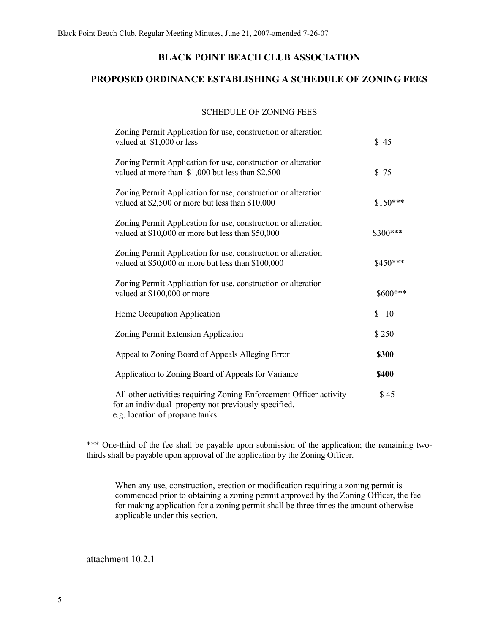## **BLACK POINT BEACH CLUB ASSOCIATION**

# **PROPOSED ORDINANCE ESTABLISHING A SCHEDULE OF ZONING FEES**

#### SCHEDULE OF ZONING FEES

| Zoning Permit Application for use, construction or alteration<br>valued at \$1,000 or less                                                                   | \$45                |
|--------------------------------------------------------------------------------------------------------------------------------------------------------------|---------------------|
| Zoning Permit Application for use, construction or alteration<br>valued at more than \$1,000 but less than \$2,500                                           | \$75                |
| Zoning Permit Application for use, construction or alteration<br>valued at \$2,500 or more but less than \$10,000                                            | \$150***            |
| Zoning Permit Application for use, construction or alteration<br>valued at \$10,000 or more but less than \$50,000                                           | \$300***            |
| Zoning Permit Application for use, construction or alteration<br>valued at \$50,000 or more but less than \$100,000                                          | \$450***            |
| Zoning Permit Application for use, construction or alteration<br>valued at \$100,000 or more                                                                 | \$600***            |
| Home Occupation Application                                                                                                                                  | \$<br><sup>10</sup> |
| Zoning Permit Extension Application                                                                                                                          | \$250               |
| Appeal to Zoning Board of Appeals Alleging Error                                                                                                             | \$300               |
| Application to Zoning Board of Appeals for Variance                                                                                                          | \$400               |
| All other activities requiring Zoning Enforcement Officer activity<br>for an individual property not previously specified,<br>e.g. location of propane tanks | \$45                |

\*\*\* One-third of the fee shall be payable upon submission of the application; the remaining twothirds shall be payable upon approval of the application by the Zoning Officer.

When any use, construction, erection or modification requiring a zoning permit is commenced prior to obtaining a zoning permit approved by the Zoning Officer, the fee for making application for a zoning permit shall be three times the amount otherwise applicable under this section.

attachment 10.2.1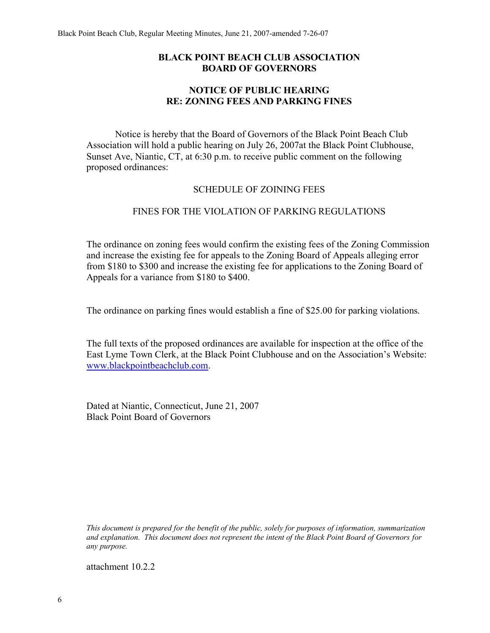## **BLACK POINT BEACH CLUB ASSOCIATION BOARD OF GOVERNORS**

## **NOTICE OF PUBLIC HEARING RE: ZONING FEES AND PARKING FINES**

Notice is hereby that the Board of Governors of the Black Point Beach Club Association will hold a public hearing on July 26, 2007at the Black Point Clubhouse, Sunset Ave, Niantic, CT, at 6:30 p.m. to receive public comment on the following proposed ordinances:

### SCHEDULE OF ZOINING FEES

## FINES FOR THE VIOLATION OF PARKING REGULATIONS

The ordinance on zoning fees would confirm the existing fees of the Zoning Commission and increase the existing fee for appeals to the Zoning Board of Appeals alleging error from \$180 to \$300 and increase the existing fee for applications to the Zoning Board of Appeals for a variance from \$180 to \$400.

The ordinance on parking fines would establish a fine of \$25.00 for parking violations.

The full texts of the proposed ordinances are available for inspection at the office of the East Lyme Town Clerk, at the Black Point Clubhouse and on the Association's Website: www.blackpointbeachclub.com.

Dated at Niantic, Connecticut, June 21, 2007 Black Point Board of Governors

*This document is prepared for the benefit of the public, solely for purposes of information, summarization and explanation. This document does not represent the intent of the Black Point Board of Governors for any purpose.*

attachment 10.2.2